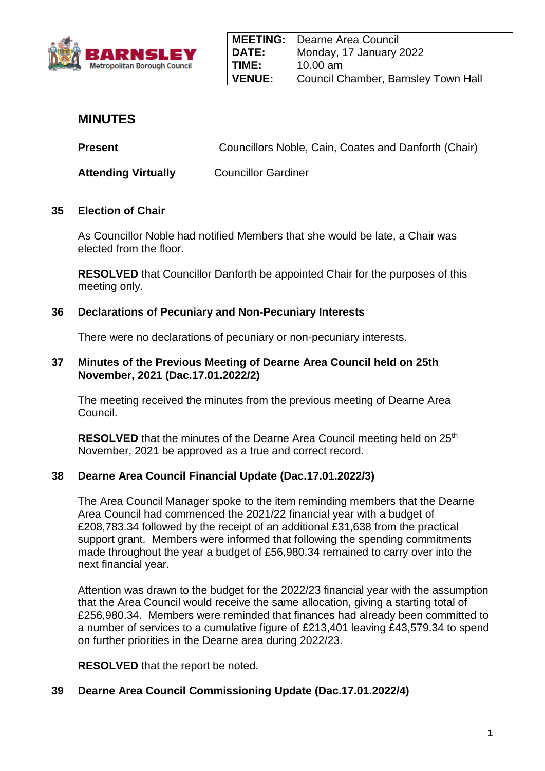

|               | <b>MEETING:</b>   Dearne Area Council |
|---------------|---------------------------------------|
| DATE:         | Monday, 17 January 2022               |
| TIME:         | $10.00$ am                            |
| <b>VENUE:</b> | Council Chamber, Barnsley Town Hall   |

# **MINUTES**

**Present Councillors Noble, Cain, Coates and Danforth (Chair)** 

**Attending Virtually** Councillor Gardiner

## **35 Election of Chair**

As Councillor Noble had notified Members that she would be late, a Chair was elected from the floor.

**RESOLVED** that Councillor Danforth be appointed Chair for the purposes of this meeting only.

## **36 Declarations of Pecuniary and Non-Pecuniary Interests**

There were no declarations of pecuniary or non-pecuniary interests.

#### **37 Minutes of the Previous Meeting of Dearne Area Council held on 25th November, 2021 (Dac.17.01.2022/2)**

The meeting received the minutes from the previous meeting of Dearne Area Council.

**RESOLVED** that the minutes of the Dearne Area Council meeting held on 25<sup>th</sup> November, 2021 be approved as a true and correct record.

#### **38 Dearne Area Council Financial Update (Dac.17.01.2022/3)**

The Area Council Manager spoke to the item reminding members that the Dearne Area Council had commenced the 2021/22 financial year with a budget of £208,783.34 followed by the receipt of an additional £31,638 from the practical support grant. Members were informed that following the spending commitments made throughout the year a budget of £56,980.34 remained to carry over into the next financial year.

Attention was drawn to the budget for the 2022/23 financial year with the assumption that the Area Council would receive the same allocation, giving a starting total of £256,980.34. Members were reminded that finances had already been committed to a number of services to a cumulative figure of £213,401 leaving £43,579.34 to spend on further priorities in the Dearne area during 2022/23.

**RESOLVED** that the report be noted.

#### **39 Dearne Area Council Commissioning Update (Dac.17.01.2022/4)**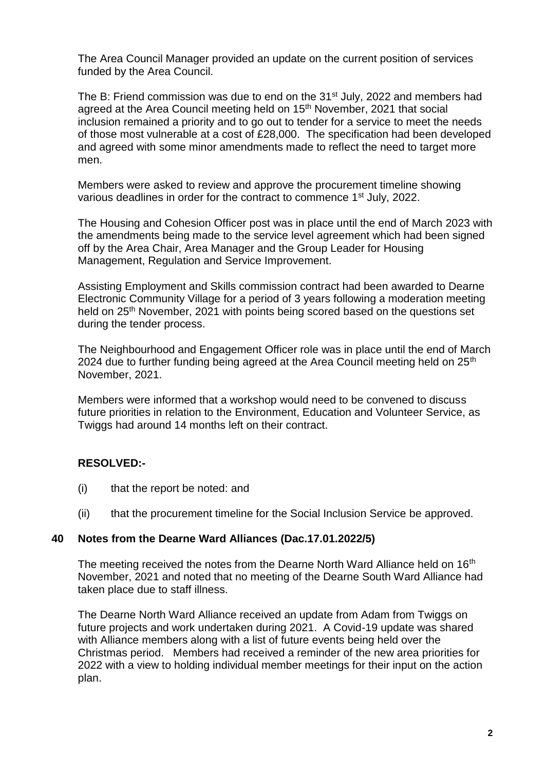The Area Council Manager provided an update on the current position of services funded by the Area Council.

The B: Friend commission was due to end on the 31<sup>st</sup> July, 2022 and members had agreed at the Area Council meeting held on 15<sup>th</sup> November, 2021 that social inclusion remained a priority and to go out to tender for a service to meet the needs of those most vulnerable at a cost of £28,000. The specification had been developed and agreed with some minor amendments made to reflect the need to target more men.

Members were asked to review and approve the procurement timeline showing various deadlines in order for the contract to commence 1<sup>st</sup> July, 2022.

The Housing and Cohesion Officer post was in place until the end of March 2023 with the amendments being made to the service level agreement which had been signed off by the Area Chair, Area Manager and the Group Leader for Housing Management, Regulation and Service Improvement.

Assisting Employment and Skills commission contract had been awarded to Dearne Electronic Community Village for a period of 3 years following a moderation meeting held on 25<sup>th</sup> November, 2021 with points being scored based on the questions set during the tender process.

The Neighbourhood and Engagement Officer role was in place until the end of March 2024 due to further funding being agreed at the Area Council meeting held on  $25<sup>th</sup>$ November, 2021.

Members were informed that a workshop would need to be convened to discuss future priorities in relation to the Environment, Education and Volunteer Service, as Twiggs had around 14 months left on their contract.

# **RESOLVED:-**

- (i) that the report be noted: and
- (ii) that the procurement timeline for the Social Inclusion Service be approved.

#### **40 Notes from the Dearne Ward Alliances (Dac.17.01.2022/5)**

The meeting received the notes from the Dearne North Ward Alliance held on 16<sup>th</sup> November, 2021 and noted that no meeting of the Dearne South Ward Alliance had taken place due to staff illness.

The Dearne North Ward Alliance received an update from Adam from Twiggs on future projects and work undertaken during 2021. A Covid-19 update was shared with Alliance members along with a list of future events being held over the Christmas period. Members had received a reminder of the new area priorities for 2022 with a view to holding individual member meetings for their input on the action plan.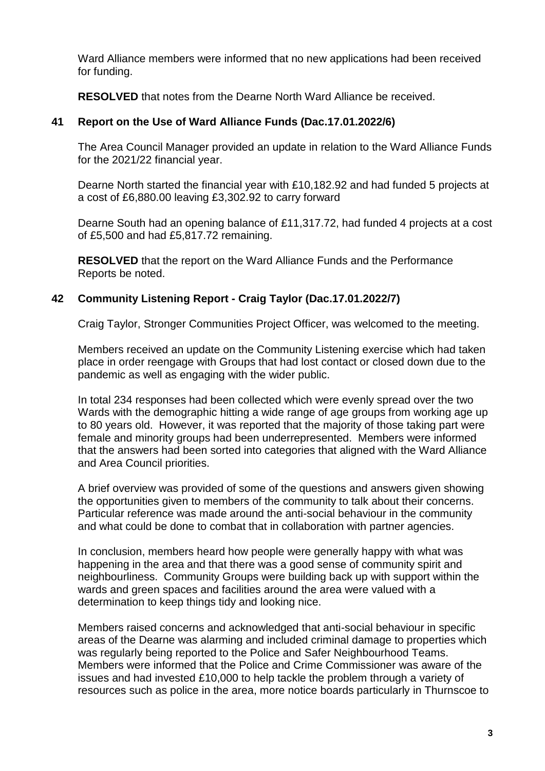Ward Alliance members were informed that no new applications had been received for funding.

**RESOLVED** that notes from the Dearne North Ward Alliance be received.

## **41 Report on the Use of Ward Alliance Funds (Dac.17.01.2022/6)**

The Area Council Manager provided an update in relation to the Ward Alliance Funds for the 2021/22 financial year.

Dearne North started the financial year with £10,182.92 and had funded 5 projects at a cost of £6,880.00 leaving £3,302.92 to carry forward

Dearne South had an opening balance of £11,317.72, had funded 4 projects at a cost of £5,500 and had £5,817.72 remaining.

**RESOLVED** that the report on the Ward Alliance Funds and the Performance Reports be noted.

# **42 Community Listening Report - Craig Taylor (Dac.17.01.2022/7)**

Craig Taylor, Stronger Communities Project Officer, was welcomed to the meeting.

Members received an update on the Community Listening exercise which had taken place in order reengage with Groups that had lost contact or closed down due to the pandemic as well as engaging with the wider public.

In total 234 responses had been collected which were evenly spread over the two Wards with the demographic hitting a wide range of age groups from working age up to 80 years old. However, it was reported that the majority of those taking part were female and minority groups had been underrepresented. Members were informed that the answers had been sorted into categories that aligned with the Ward Alliance and Area Council priorities.

A brief overview was provided of some of the questions and answers given showing the opportunities given to members of the community to talk about their concerns. Particular reference was made around the anti-social behaviour in the community and what could be done to combat that in collaboration with partner agencies.

In conclusion, members heard how people were generally happy with what was happening in the area and that there was a good sense of community spirit and neighbourliness. Community Groups were building back up with support within the wards and green spaces and facilities around the area were valued with a determination to keep things tidy and looking nice.

Members raised concerns and acknowledged that anti-social behaviour in specific areas of the Dearne was alarming and included criminal damage to properties which was regularly being reported to the Police and Safer Neighbourhood Teams. Members were informed that the Police and Crime Commissioner was aware of the issues and had invested £10,000 to help tackle the problem through a variety of resources such as police in the area, more notice boards particularly in Thurnscoe to